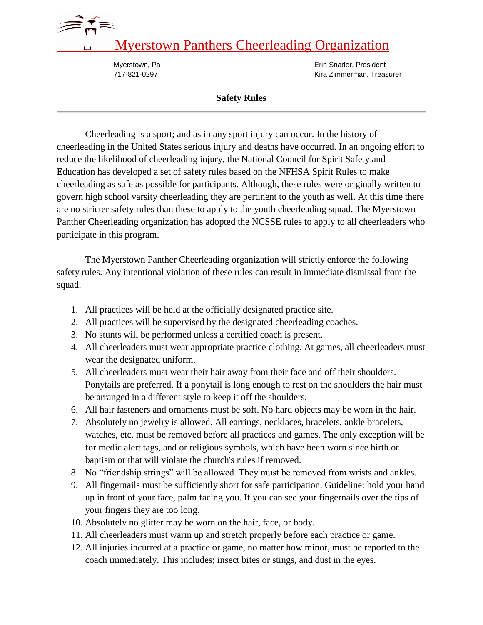## Myerstown Panthers Cheerleading Organization

Myerstown, Pa **EXECUTE:** Myerstown, Pa 717-821-0297 Kira Zimmerman, Treasurer

## **Safety Rules**

Cheerleading is a sport; and as in any sport injury can occur. In the history of cheerleading in the United States serious injury and deaths have occurred. In an ongoing effort to reduce the likelihood of cheerleading injury, the National Council for Spirit Safety and Education has developed a set of safety rules based on the NFHSA Spirit Rules to make cheerleading as safe as possible for participants. Although, these rules were originally written to govern high school varsity cheerleading they are pertinent to the youth as well. At this time there are no stricter safety rules than these to apply to the youth cheerleading squad. The Myerstown Panther Cheerleading organization has adopted the NCSSE rules to apply to all cheerleaders who participate in this program.

The Myerstown Panther Cheerleading organization will strictly enforce the following safety rules. Any intentional violation of these rules can result in immediate dismissal from the squad.

- 1. All practices will be held at the officially designated practice site.
- 2. All practices will be supervised by the designated cheerleading coaches.
- 3. No stunts will be performed unless a certified coach is present.
- 4. All cheerleaders must wear appropriate practice clothing. At games, all cheerleaders must wear the designated uniform.
- 5. All cheerleaders must wear their hair away from their face and off their shoulders. Ponytails are preferred. If a ponytail is long enough to rest on the shoulders the hair must be arranged in a different style to keep it off the shoulders.
- 6. All hair fasteners and ornaments must be soft. No hard objects may be worn in the hair.
- 7. Absolutely no jewelry is allowed. All earrings, necklaces, bracelets, ankle bracelets, watches, etc. must be removed before all practices and games. The only exception will be for medic alert tags, and or religious symbols, which have been worn since birth or baptism or that will violate the church's rules if removed.
- 8. No "friendship strings" will be allowed. They must be removed from wrists and ankles.
- 9. All fingernails must be sufficiently short for safe participation. Guideline: hold your hand up in front of your face, palm facing you. If you can see your fingernails over the tips of your fingers they are too long.
- 10. Absolutely no glitter may be worn on the hair, face, or body.
- 11. All cheerleaders must warm up and stretch properly before each practice or game.
- 12. All injuries incurred at a practice or game, no matter how minor, must be reported to the coach immediately. This includes; insect bites or stings, and dust in the eyes.